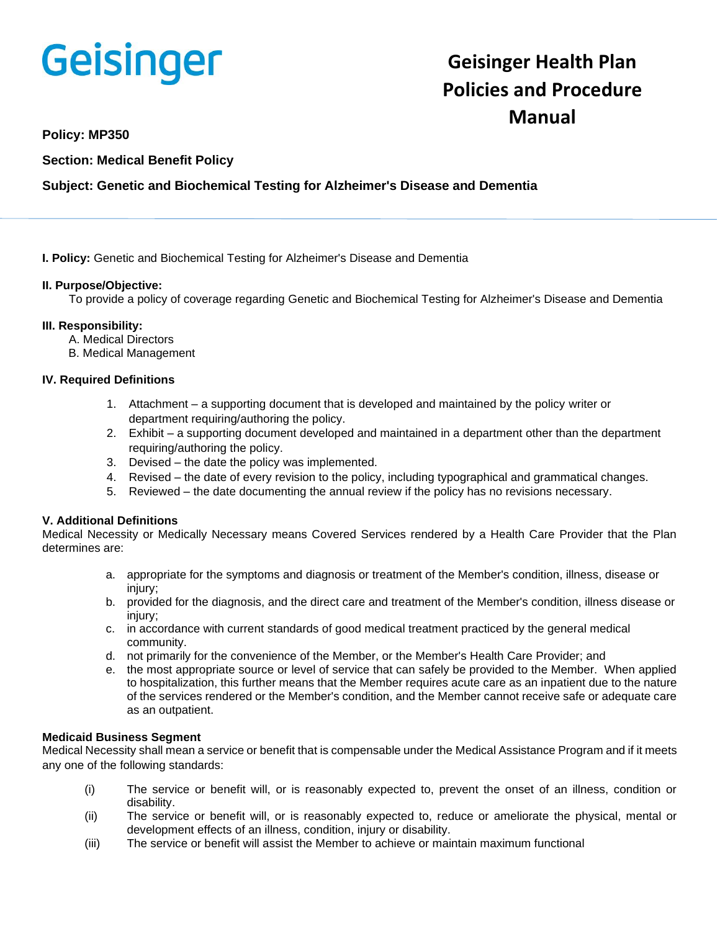# Geisinger

# **Geisinger Health Plan Policies and Procedure Manual**

**Policy: MP350**

**Section: Medical Benefit Policy**

# **Subject: Genetic and Biochemical Testing for Alzheimer's Disease and Dementia**

**I. Policy:** Genetic and Biochemical Testing for Alzheimer's Disease and Dementia

# **II. Purpose/Objective:**

To provide a policy of coverage regarding Genetic and Biochemical Testing for Alzheimer's Disease and Dementia

# **III. Responsibility:**

- A. Medical Directors
- B. Medical Management

# **IV. Required Definitions**

- 1. Attachment a supporting document that is developed and maintained by the policy writer or department requiring/authoring the policy.
- 2. Exhibit a supporting document developed and maintained in a department other than the department requiring/authoring the policy.
- 3. Devised the date the policy was implemented.
- 4. Revised the date of every revision to the policy, including typographical and grammatical changes.
- 5. Reviewed the date documenting the annual review if the policy has no revisions necessary.

# **V. Additional Definitions**

Medical Necessity or Medically Necessary means Covered Services rendered by a Health Care Provider that the Plan determines are:

- a. appropriate for the symptoms and diagnosis or treatment of the Member's condition, illness, disease or injury;
- b. provided for the diagnosis, and the direct care and treatment of the Member's condition, illness disease or injury;
- c. in accordance with current standards of good medical treatment practiced by the general medical community.
- d. not primarily for the convenience of the Member, or the Member's Health Care Provider; and
- e. the most appropriate source or level of service that can safely be provided to the Member. When applied to hospitalization, this further means that the Member requires acute care as an inpatient due to the nature of the services rendered or the Member's condition, and the Member cannot receive safe or adequate care as an outpatient.

### **Medicaid Business Segment**

Medical Necessity shall mean a service or benefit that is compensable under the Medical Assistance Program and if it meets any one of the following standards:

- (i) The service or benefit will, or is reasonably expected to, prevent the onset of an illness, condition or disability.
- (ii) The service or benefit will, or is reasonably expected to, reduce or ameliorate the physical, mental or development effects of an illness, condition, injury or disability.
- (iii) The service or benefit will assist the Member to achieve or maintain maximum functional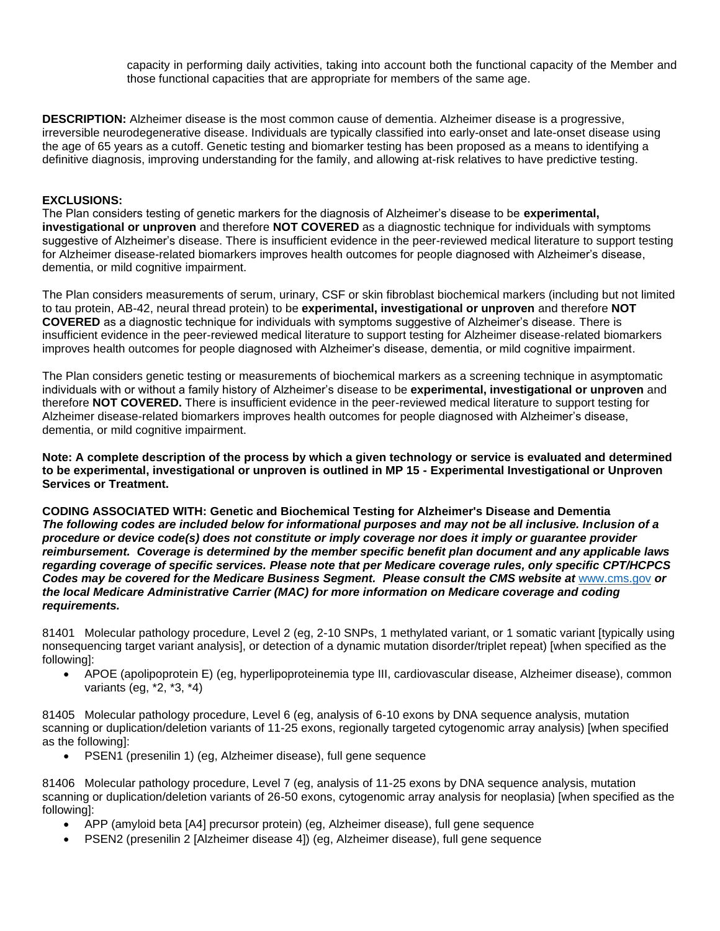capacity in performing daily activities, taking into account both the functional capacity of the Member and those functional capacities that are appropriate for members of the same age.

**DESCRIPTION:** Alzheimer disease is the most common cause of dementia. Alzheimer disease is a progressive, irreversible neurodegenerative disease. Individuals are typically classified into early-onset and late-onset disease using the age of 65 years as a cutoff. Genetic testing and biomarker testing has been proposed as a means to identifying a definitive diagnosis, improving understanding for the family, and allowing at-risk relatives to have predictive testing.

## **EXCLUSIONS:**

The Plan considers testing of genetic markers for the diagnosis of Alzheimer's disease to be **experimental, investigational or unproven** and therefore **NOT COVERED** as a diagnostic technique for individuals with symptoms suggestive of Alzheimer's disease. There is insufficient evidence in the peer-reviewed medical literature to support testing for Alzheimer disease-related biomarkers improves health outcomes for people diagnosed with Alzheimer's disease, dementia, or mild cognitive impairment.

The Plan considers measurements of serum, urinary, CSF or skin fibroblast biochemical markers (including but not limited to tau protein, AB-42, neural thread protein) to be **experimental, investigational or unproven** and therefore **NOT COVERED** as a diagnostic technique for individuals with symptoms suggestive of Alzheimer's disease. There is insufficient evidence in the peer-reviewed medical literature to support testing for Alzheimer disease-related biomarkers improves health outcomes for people diagnosed with Alzheimer's disease, dementia, or mild cognitive impairment.

The Plan considers genetic testing or measurements of biochemical markers as a screening technique in asymptomatic individuals with or without a family history of Alzheimer's disease to be **experimental, investigational or unproven** and therefore **NOT COVERED.** There is insufficient evidence in the peer-reviewed medical literature to support testing for Alzheimer disease-related biomarkers improves health outcomes for people diagnosed with Alzheimer's disease, dementia, or mild cognitive impairment.

**Note: A complete description of the process by which a given technology or service is evaluated and determined to be experimental, investigational or unproven is outlined in MP 15 - Experimental Investigational or Unproven Services or Treatment.**

**CODING ASSOCIATED WITH: Genetic and Biochemical Testing for Alzheimer's Disease and Dementia** *The following codes are included below for informational purposes and may not be all inclusive. Inclusion of a procedure or device code(s) does not constitute or imply coverage nor does it imply or guarantee provider reimbursement. Coverage is determined by the member specific benefit plan document and any applicable laws regarding coverage of specific services. Please note that per Medicare coverage rules, only specific CPT/HCPCS Codes may be covered for the Medicare Business Segment. Please consult the CMS website at* [www.cms.gov](http://www.cms.gov/) *or the local Medicare Administrative Carrier (MAC) for more information on Medicare coverage and coding requirements.*

81401 Molecular pathology procedure, Level 2 (eg, 2-10 SNPs, 1 methylated variant, or 1 somatic variant [typically using nonsequencing target variant analysis], or detection of a dynamic mutation disorder/triplet repeat) [when specified as the following]:

• APOE (apolipoprotein E) (eg, hyperlipoproteinemia type III, cardiovascular disease, Alzheimer disease), common variants (eg, \*2, \*3, \*4)

81405 Molecular pathology procedure, Level 6 (eg, analysis of 6-10 exons by DNA sequence analysis, mutation scanning or duplication/deletion variants of 11-25 exons, regionally targeted cytogenomic array analysis) [when specified as the following]:

• PSEN1 (presenilin 1) (eg, Alzheimer disease), full gene sequence

81406 Molecular pathology procedure, Level 7 (eg, analysis of 11-25 exons by DNA sequence analysis, mutation scanning or duplication/deletion variants of 26-50 exons, cytogenomic array analysis for neoplasia) [when specified as the following]:

- APP (amyloid beta [A4] precursor protein) (eg, Alzheimer disease), full gene sequence
- PSEN2 (presenilin 2 [Alzheimer disease 4]) (eg, Alzheimer disease), full gene sequence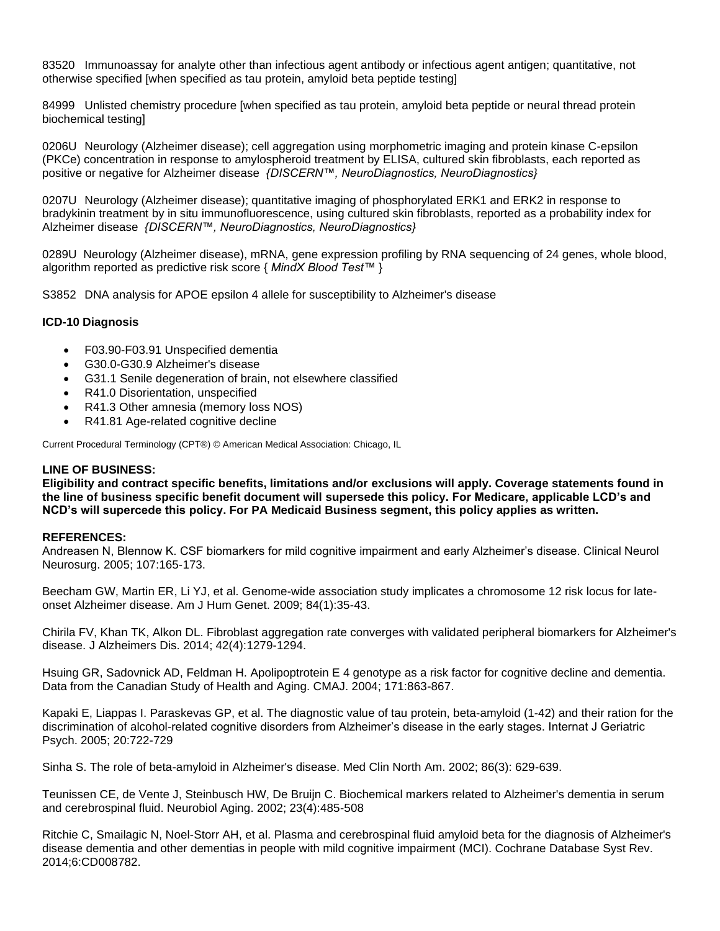83520 Immunoassay for analyte other than infectious agent antibody or infectious agent antigen; quantitative, not otherwise specified [when specified as tau protein, amyloid beta peptide testing]

84999 Unlisted chemistry procedure [when specified as tau protein, amyloid beta peptide or neural thread protein biochemical testing]

0206U Neurology (Alzheimer disease); cell aggregation using morphometric imaging and protein kinase C-epsilon (PKCe) concentration in response to amylospheroid treatment by ELISA, cultured skin fibroblasts, each reported as positive or negative for Alzheimer disease *{DISCERN™, NeuroDiagnostics, NeuroDiagnostics}*

0207U Neurology (Alzheimer disease); quantitative imaging of phosphorylated ERK1 and ERK2 in response to bradykinin treatment by in situ immunofluorescence, using cultured skin fibroblasts, reported as a probability index for Alzheimer disease *{DISCERN™, NeuroDiagnostics, NeuroDiagnostics}*

0289U Neurology (Alzheimer disease), mRNA, gene expression profiling by RNA sequencing of 24 genes, whole blood, algorithm reported as predictive risk score { *MindX Blood Test™* }

S3852 DNA analysis for APOE epsilon 4 allele for susceptibility to Alzheimer's disease

#### **ICD-10 Diagnosis**

- F03.90-F03.91 Unspecified dementia
- G30.0-G30.9 Alzheimer's disease
- G31.1 Senile degeneration of brain, not elsewhere classified
- R41.0 Disorientation, unspecified
- R41.3 Other amnesia (memory loss NOS)
- R41.81 Age-related cognitive decline

Current Procedural Terminology (CPT®) © American Medical Association: Chicago, IL

#### **LINE OF BUSINESS:**

**Eligibility and contract specific benefits, limitations and/or exclusions will apply. Coverage statements found in the line of business specific benefit document will supersede this policy. For Medicare, applicable LCD's and NCD's will supercede this policy. For PA Medicaid Business segment, this policy applies as written.**

#### **REFERENCES:**

Andreasen N, Blennow K. CSF biomarkers for mild cognitive impairment and early Alzheimer's disease. Clinical Neurol Neurosurg. 2005; 107:165-173.

Beecham GW, Martin ER, Li YJ, et al. Genome-wide association study implicates a chromosome 12 risk locus for lateonset Alzheimer disease. Am J Hum Genet. 2009; 84(1):35-43.

Chirila FV, Khan TK, Alkon DL. Fibroblast aggregation rate converges with validated peripheral biomarkers for Alzheimer's disease. J Alzheimers Dis. 2014; 42(4):1279-1294.

Hsuing GR, Sadovnick AD, Feldman H. Apolipoptrotein E 4 genotype as a risk factor for cognitive decline and dementia. Data from the Canadian Study of Health and Aging. CMAJ. 2004; 171:863-867.

Kapaki E, Liappas I. Paraskevas GP, et al. The diagnostic value of tau protein, beta-amyloid (1-42) and their ration for the discrimination of alcohol-related cognitive disorders from Alzheimer's disease in the early stages. Internat J Geriatric Psych. 2005; 20:722-729

Sinha S. The role of beta-amyloid in Alzheimer's disease. Med Clin North Am. 2002; 86(3): 629-639.

Teunissen CE, de Vente J, Steinbusch HW, De Bruijn C. Biochemical markers related to Alzheimer's dementia in serum and cerebrospinal fluid. Neurobiol Aging. 2002; 23(4):485-508

Ritchie C, Smailagic N, Noel-Storr AH, et al. Plasma and cerebrospinal fluid amyloid beta for the diagnosis of Alzheimer's disease dementia and other dementias in people with mild cognitive impairment (MCI). Cochrane Database Syst Rev. 2014;6:CD008782.